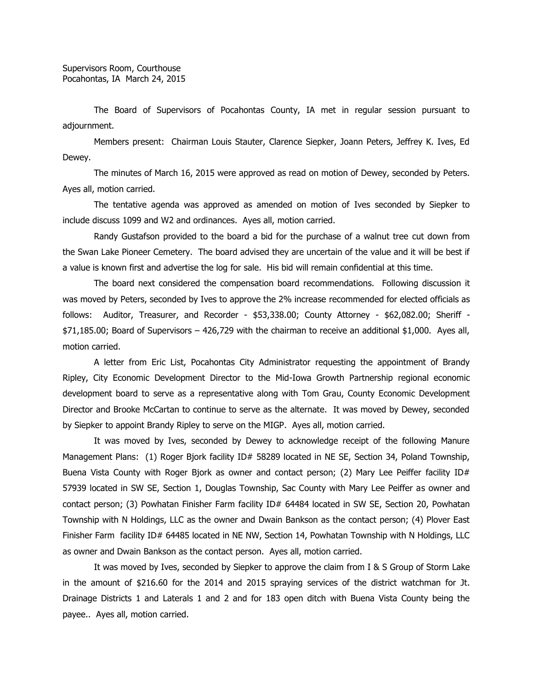The Board of Supervisors of Pocahontas County, IA met in regular session pursuant to adjournment.

Members present: Chairman Louis Stauter, Clarence Siepker, Joann Peters, Jeffrey K. Ives, Ed Dewey.

The minutes of March 16, 2015 were approved as read on motion of Dewey, seconded by Peters. Ayes all, motion carried.

The tentative agenda was approved as amended on motion of Ives seconded by Siepker to include discuss 1099 and W2 and ordinances. Ayes all, motion carried.

Randy Gustafson provided to the board a bid for the purchase of a walnut tree cut down from the Swan Lake Pioneer Cemetery. The board advised they are uncertain of the value and it will be best if a value is known first and advertise the log for sale. His bid will remain confidential at this time.

The board next considered the compensation board recommendations. Following discussion it was moved by Peters, seconded by Ives to approve the 2% increase recommended for elected officials as follows: Auditor, Treasurer, and Recorder - \$53,338.00; County Attorney - \$62,082.00; Sheriff - \$71,185.00; Board of Supervisors – 426,729 with the chairman to receive an additional \$1,000. Ayes all, motion carried.

A letter from Eric List, Pocahontas City Administrator requesting the appointment of Brandy Ripley, City Economic Development Director to the Mid-Iowa Growth Partnership regional economic development board to serve as a representative along with Tom Grau, County Economic Development Director and Brooke McCartan to continue to serve as the alternate. It was moved by Dewey, seconded by Siepker to appoint Brandy Ripley to serve on the MIGP. Ayes all, motion carried.

It was moved by Ives, seconded by Dewey to acknowledge receipt of the following Manure Management Plans: (1) Roger Bjork facility ID# 58289 located in NE SE, Section 34, Poland Township, Buena Vista County with Roger Bjork as owner and contact person; (2) Mary Lee Peiffer facility  $ID#$ 57939 located in SW SE, Section 1, Douglas Township, Sac County with Mary Lee Peiffer as owner and contact person; (3) Powhatan Finisher Farm facility ID# 64484 located in SW SE, Section 20, Powhatan Township with N Holdings, LLC as the owner and Dwain Bankson as the contact person; (4) Plover East Finisher Farm facility ID# 64485 located in NE NW, Section 14, Powhatan Township with N Holdings, LLC as owner and Dwain Bankson as the contact person. Ayes all, motion carried.

It was moved by Ives, seconded by Siepker to approve the claim from I & S Group of Storm Lake in the amount of \$216.60 for the 2014 and 2015 spraying services of the district watchman for Jt. Drainage Districts 1 and Laterals 1 and 2 and for 183 open ditch with Buena Vista County being the payee.. Ayes all, motion carried.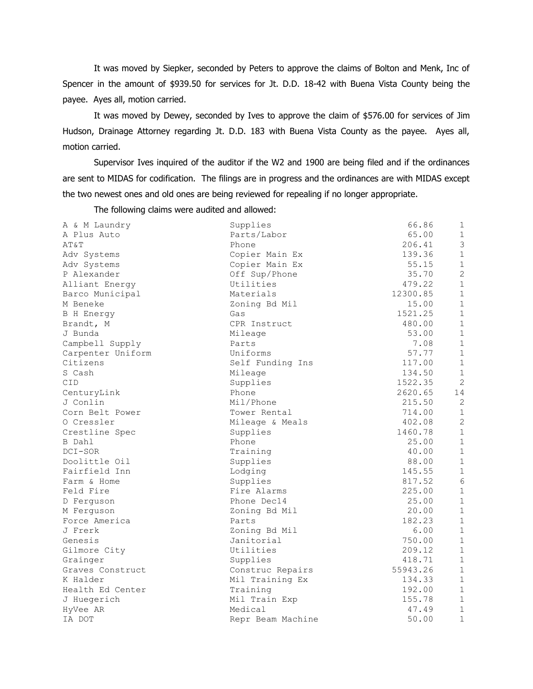It was moved by Siepker, seconded by Peters to approve the claims of Bolton and Menk, Inc of Spencer in the amount of \$939.50 for services for Jt. D.D. 18-42 with Buena Vista County being the payee. Ayes all, motion carried.

It was moved by Dewey, seconded by Ives to approve the claim of \$576.00 for services of Jim Hudson, Drainage Attorney regarding Jt. D.D. 183 with Buena Vista County as the payee. Ayes all, motion carried.

Supervisor Ives inquired of the auditor if the W2 and 1900 are being filed and if the ordinances are sent to MIDAS for codification. The filings are in progress and the ordinances are with MIDAS except the two newest ones and old ones are being reviewed for repealing if no longer appropriate.

The following claims were audited and allowed:

| A & M Laundry     | Supplies          | 66.86    | $\mathbf{1}$   |
|-------------------|-------------------|----------|----------------|
| A Plus Auto       | Parts/Labor       | 65.00    | $\mathbf{1}$   |
| AT&T              | Phone             | 206.41   | $\mathfrak{Z}$ |
| Adv Systems       | Copier Main Ex    | 139.36   | $\mathbf 1$    |
| Adv Systems       | Copier Main Ex    | 55.15    | $1\,$          |
| P Alexander       | Off Sup/Phone     | 35.70    | $\overline{c}$ |
| Alliant Energy    | Utilities         | 479.22   | $\mathbf 1$    |
| Barco Municipal   | Materials         | 12300.85 | $\,1\,$        |
| M Beneke          | Zoning Bd Mil     | 15.00    | $\mathbf{1}$   |
| B H Energy        | Gas               | 1521.25  | $\mathbf 1$    |
| Brandt, M         | CPR Instruct      | 480.00   | $\mathbf{1}$   |
| J Bunda           | Mileage           | 53.00    | $\,1\,$        |
| Campbell Supply   | Parts             | 7.08     | $\,1\,$        |
| Carpenter Uniform | Uniforms          | 57.77    | $\,1\,$        |
| Citizens          | Self Funding Ins  | 117.00   | $\,1\,$        |
| S Cash            | Mileage           | 134.50   | $\mathbf{1}$   |
| CID               | Supplies          | 1522.35  | $\overline{2}$ |
| CenturyLink       | Phone             | 2620.65  | 14             |
| J Conlin          | Mil/Phone         | 215.50   | $\overline{2}$ |
| Corn Belt Power   | Tower Rental      | 714.00   | $\,1\,$        |
| 0 Cressler        | Mileage & Meals   | 402.08   | $\overline{c}$ |
| Crestline Spec    | Supplies          | 1460.78  | $\mathbf 1$    |
| B Dahl            | Phone             | 25.00    | $\,1\,$        |
| DCI-SOR           | Training          | 40.00    | $\,1\,$        |
| Doolittle Oil     | Supplies          | 88.00    | $\mathbf{1}$   |
| Fairfield Inn     | Lodging           | 145.55   | $\,1\,$        |
| Farm & Home       | Supplies          | 817.52   | $6\,$          |
| Feld Fire         | Fire Alarms       | 225.00   | $\mathbf{1}$   |
| D Ferguson        | Phone Dec14       | 25.00    | $\mathbf{1}$   |
| M Ferguson        | Zoning Bd Mil     | 20.00    | $\,1\,$        |
| Force America     | Parts             | 182.23   | $\,1\,$        |
| J Frerk           | Zoning Bd Mil     | 6.00     | $\,1\,$        |
| Genesis           | Janitorial        | 750.00   | $\mathbf{1}$   |
| Gilmore City      | Utilities         | 209.12   | $\mathbf{1}$   |
| Grainger          | Supplies          | 418.71   | $\mathbf 1$    |
| Graves Construct  | Construc Repairs  | 55943.26 | $\mathbf 1$    |
| K Halder          | Mil Training Ex   | 134.33   | $\,1\,$        |
| Health Ed Center  | Training          | 192.00   | $1\,$          |
| J Huegerich       | Mil Train Exp     | 155.78   | $\mathbf{1}$   |
| HyVee AR          | Medical           | 47.49    | $\,1\,$        |
| IA DOT            | Repr Beam Machine | 50.00    | $\mathbf{1}$   |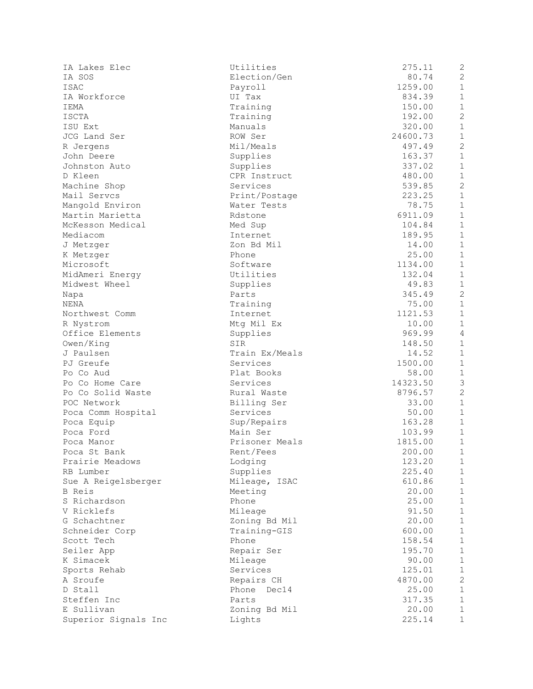| IA Lakes Elec                    | Ut             |
|----------------------------------|----------------|
| IA SOS                           | Εl             |
| ISAC                             | Pa             |
| IA Workforce                     | UI             |
| IEMA                             | Τr             |
| <b>ISCTA</b>                     | Τr             |
| ISU Ext                          | Ма             |
| JCG Land Ser                     | RC             |
| R Jergens                        | Мi             |
| John Deere                       | $S_{U}$        |
| Johnston Auto                    | $S_{\rm U}$    |
| D Kleen                          | C <sub>F</sub> |
| Machine Shop                     | Se             |
| Mail Servcs                      | Pr             |
| Mangold Environ                  | Wa             |
| Martin Marietta                  | Rc             |
| McKesson Medical                 | Мє             |
| Mediacom                         | Ir             |
| J Metzger                        | Ζc             |
| K Metzger                        | Ph.            |
| Microsoft                        | Sc             |
| MidAmeri Energy                  | Ut             |
| Midwest Wheel                    | Su             |
| Napa                             | Pa             |
| NENA                             | Τr             |
| Northwest Comm                   | Ir             |
| R Nystrom                        | Мt             |
|                                  |                |
| Office Elements                  | $S_{U}$<br>SI  |
| Owen/King<br>J Paulsen           | Τr             |
| PJ Greufe                        | Se             |
| Po Co Aud                        | P1             |
| Po Co Home Care                  |                |
| Po Co Solid Waste                | Se             |
| POC Network                      | Ru<br>Bi       |
|                                  | Se             |
| Poca Comm Hospital<br>Poca Equip | $S_{\rm U}$    |
| Poca Ford                        | Ма             |
| Poca Manor                       | Pr             |
| Poca St Bank                     | Re             |
| Prairie Meadows                  | Lс             |
| RB Lumber                        | Sυ             |
| Sue A Reigelsberger              | Мi             |
| B Reis                           | Мє             |
| S Richardson                     | Pŀ.            |
| V Ricklefs                       | Mi             |
| G Schachtner                     | Z <sub>C</sub> |
| Schneider Corp                   | Τr             |
| Scott Tech                       | Ph.            |
| Seiler App                       | Re             |
| K Simacek                        | Мi             |
| Sports Rehab                     | Se             |
| A Sroufe                         | Re             |
| D Stall                          | Ph.            |
| Steffen Inc                      | Pa             |
| E Sullivan                       | Ζc             |
| Superior Signals Inc             | Li             |
|                                  |                |

| IA Lakes Elec        | Utilities      | 275.11   | 2              |
|----------------------|----------------|----------|----------------|
| IA SOS               | Election/Gen   | 80.74    | $\overline{c}$ |
| ISAC                 | Payroll        | 1259.00  | $\mathbf{1}$   |
| IA Workforce         | UI Tax         | 834.39   | $\mathbf{1}$   |
| IEMA                 | Training       | 150.00   | $\mathbf{1}$   |
| ISCTA                | Training       | 192.00   | $\overline{c}$ |
| ISU Ext              | Manuals        | 320.00   | $\mathbf{1}$   |
| JCG Land Ser         | ROW Ser        | 24600.73 | $\mathbf{1}$   |
| R Jergens            | Mil/Meals      | 497.49   | $\overline{c}$ |
| John Deere           | Supplies       | 163.37   | $\mathbf{1}$   |
| Johnston Auto        | Supplies       | 337.02   | $\mathbf{1}$   |
| D Kleen              | CPR Instruct   | 480.00   | $\mathbf{1}$   |
| Machine Shop         | Services       | 539.85   | $\overline{c}$ |
| Mail Servcs          | Print/Postage  | 223.25   | $\mathbf{1}$   |
| Mangold Environ      | Water Tests    | 78.75    | $\mathbf{1}$   |
| Martin Marietta      | Rdstone        | 6911.09  | $\mathbf{1}$   |
| McKesson Medical     | Med Sup        | 104.84   | $\mathbf{1}$   |
| Mediacom             | Internet       | 189.95   | $\mathbf{1}$   |
| J Metzger            | Zon Bd Mil     | 14.00    | $\mathbf{1}$   |
| K Metzger            | Phone          | 25.00    | $\mathbf{1}$   |
| Microsoft            | Software       | 1134.00  | $\mathbf{1}$   |
| MidAmeri Energy      | Utilities      | 132.04   | $\mathbf{1}$   |
| Midwest Wheel        | Supplies       | 49.83    | $\mathbf{1}$   |
| Napa                 | Parts          | 345.49   | $\overline{c}$ |
| NENA                 | Training       | 75.00    | $\mathbf{1}$   |
| Northwest Comm       | Internet       | 1121.53  | $\mathbf{1}$   |
| R Nystrom            | Mtg Mil Ex     | 10.00    | $\mathbf{1}$   |
| Office Elements      | Supplies       | 969.99   | $\overline{4}$ |
| Owen/King            | SIR            | 148.50   | $\mathbf{1}$   |
| J Paulsen            | Train Ex/Meals | 14.52    | $\mathbf{1}$   |
| PJ Greufe            | Services       | 1500.00  | $\mathbf{1}$   |
| Po Co Aud            | Plat Books     | 58.00    | $\mathbf{1}$   |
| Po Co Home Care      | Services       | 14323.50 | $\overline{3}$ |
| Po Co Solid Waste    | Rural Waste    | 8796.57  | $\overline{c}$ |
| POC Network          | Billing Ser    | 33.00    | $\mathbf{1}$   |
| Poca Comm Hospital   | Services       | 50.00    | $\mathbf{1}$   |
| Poca Equip           | Sup/Repairs    | 163.28   | $\mathbf{1}$   |
| Poca Ford            | Main Ser       | 103.99   | $\mathbf{1}$   |
| Poca Manor           | Prisoner Meals | 1815.00  | $\mathbf{1}$   |
| Poca St Bank         | Rent/Fees      | 200.00   | $\mathbf{1}$   |
| Prairie Meadows      | Lodging        | 123.20   | $\mathbf 1$    |
| RB Lumber            | Supplies       | 225.40   | $\mathbf 1$    |
| Sue A Reigelsberger  | Mileage, ISAC  | 610.86   | $1\,$          |
| B Reis               | Meeting        | 20.00    | $\mathbf{1}$   |
| S Richardson         | Phone          | 25.00    | $\mathbf{1}$   |
| V Ricklefs           | Mileage        | 91.50    | $\mathbf{1}$   |
| G Schachtner         | Zoning Bd Mil  | 20.00    | $\mathbf{1}$   |
| Schneider Corp       | Training-GIS   | 600.00   | $\mathbf{1}$   |
| Scott Tech           | Phone          | 158.54   | $\mathbf{1}$   |
| Seiler App           | Repair Ser     | 195.70   | $\mathbf{1}$   |
| K Simacek            | Mileage        | 90.00    | $\mathbf{1}$   |
| Sports Rehab         | Services       | 125.01   | $\mathbf{1}$   |
| A Sroufe             | Repairs CH     | 4870.00  | $\overline{c}$ |
| D Stall              | Phone<br>Dec14 | 25.00    | $\mathbf{1}$   |
| Steffen Inc          | Parts          | 317.35   | $\mathbf{1}$   |
| E Sullivan           | Zoning Bd Mil  | 20.00    | 1              |
| Superior Signals Inc | Lights         | 225.14   | 1              |
|                      |                |          |                |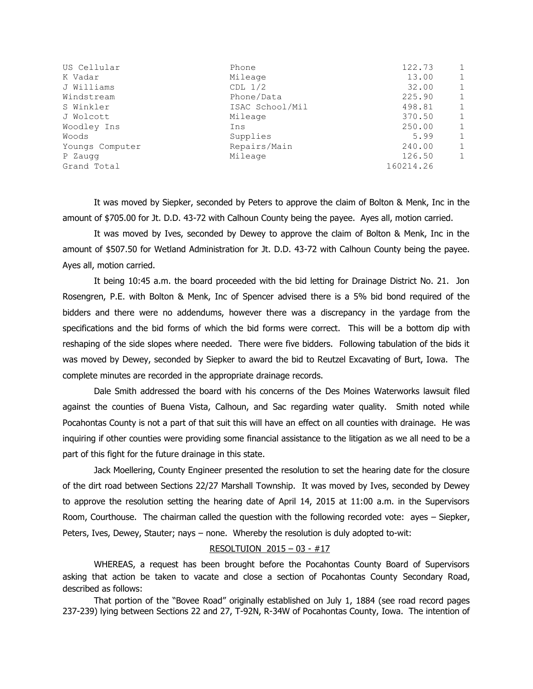| US Cellular     | Phone           | 122.73    | $\mathbf{1}$ |
|-----------------|-----------------|-----------|--------------|
| K Vadar         | Mileage         | 13.00     | $\mathbf{1}$ |
| J Williams      | $CDL$ $1/2$     | 32.00     | $\mathbf{1}$ |
| Windstream      | Phone/Data      | 225.90    | 1            |
| S Winkler       | ISAC School/Mil | 498.81    | $\mathbf{1}$ |
| J Wolcott       | Mileage         | 370.50    | $\mathbf{1}$ |
| Woodley Ins     | Ins             | 250.00    | $\mathbf{1}$ |
| Woods           | Supplies        | 5.99      | 1            |
| Youngs Computer | Repairs/Main    | 240.00    | 1            |
| P Zaugg         | Mileage         | 126.50    | $\mathbf{1}$ |
| Grand Total     |                 | 160214.26 |              |

It was moved by Siepker, seconded by Peters to approve the claim of Bolton & Menk, Inc in the amount of \$705.00 for Jt. D.D. 43-72 with Calhoun County being the payee. Ayes all, motion carried.

It was moved by Ives, seconded by Dewey to approve the claim of Bolton & Menk, Inc in the amount of \$507.50 for Wetland Administration for Jt. D.D. 43-72 with Calhoun County being the payee. Ayes all, motion carried.

It being 10:45 a.m. the board proceeded with the bid letting for Drainage District No. 21. Jon Rosengren, P.E. with Bolton & Menk, Inc of Spencer advised there is a 5% bid bond required of the bidders and there were no addendums, however there was a discrepancy in the yardage from the specifications and the bid forms of which the bid forms were correct. This will be a bottom dip with reshaping of the side slopes where needed. There were five bidders. Following tabulation of the bids it was moved by Dewey, seconded by Siepker to award the bid to Reutzel Excavating of Burt, Iowa. The complete minutes are recorded in the appropriate drainage records.

Dale Smith addressed the board with his concerns of the Des Moines Waterworks lawsuit filed against the counties of Buena Vista, Calhoun, and Sac regarding water quality. Smith noted while Pocahontas County is not a part of that suit this will have an effect on all counties with drainage. He was inquiring if other counties were providing some financial assistance to the litigation as we all need to be a part of this fight for the future drainage in this state.

Jack Moellering, County Engineer presented the resolution to set the hearing date for the closure of the dirt road between Sections 22/27 Marshall Township. It was moved by Ives, seconded by Dewey to approve the resolution setting the hearing date of April 14, 2015 at 11:00 a.m. in the Supervisors Room, Courthouse. The chairman called the question with the following recorded vote: ayes – Siepker, Peters, Ives, Dewey, Stauter; nays – none. Whereby the resolution is duly adopted to-wit:

## RESOLTUION 2015 – 03 - #17

WHEREAS, a request has been brought before the Pocahontas County Board of Supervisors asking that action be taken to vacate and close a section of Pocahontas County Secondary Road, described as follows:

That portion of the "Bovee Road" originally established on July 1, 1884 (see road record pages 237-239) lying between Sections 22 and 27, T-92N, R-34W of Pocahontas County, Iowa. The intention of